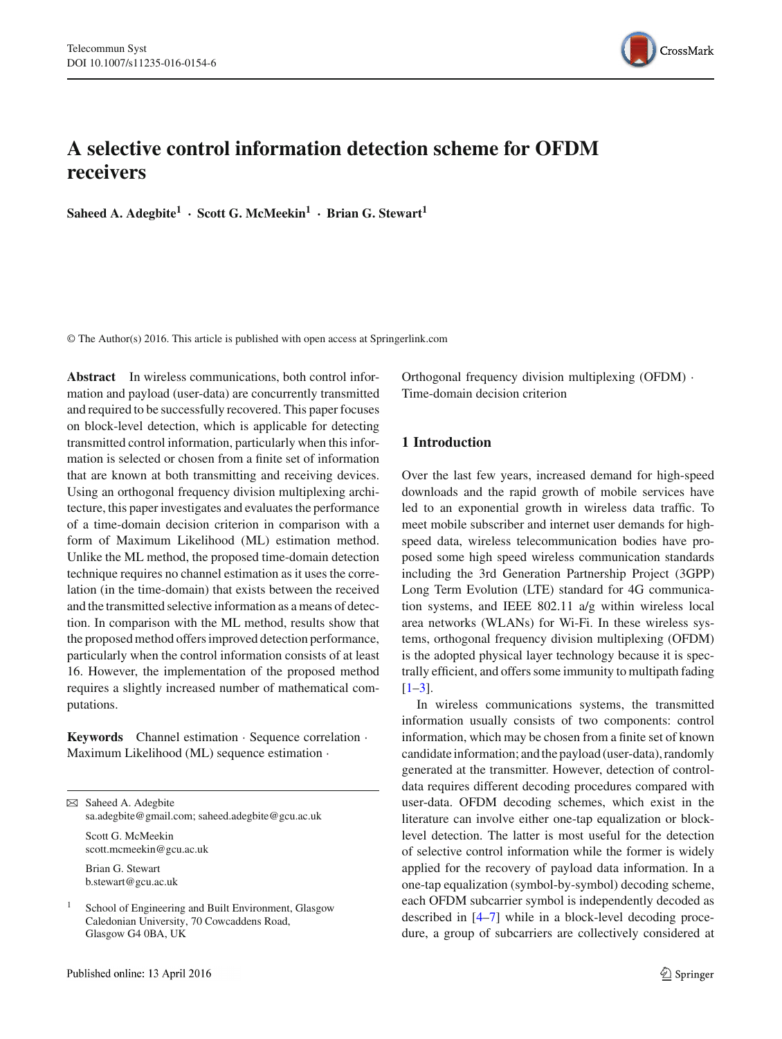

# **A selective control information detection scheme for OFDM receivers**

**Saheed A. Adegbite1 · Scott G. McMeekin1 · Brian G. Stewart<sup>1</sup>**

© The Author(s) 2016. This article is published with open access at Springerlink.com

**Abstract** In wireless communications, both control information and payload (user-data) are concurrently transmitted and required to be successfully recovered. This paper focuses on block-level detection, which is applicable for detecting transmitted control information, particularly when this information is selected or chosen from a finite set of information that are known at both transmitting and receiving devices. Using an orthogonal frequency division multiplexing architecture, this paper investigates and evaluates the performance of a time-domain decision criterion in comparison with a form of Maximum Likelihood (ML) estimation method. Unlike the ML method, the proposed time-domain detection technique requires no channel estimation as it uses the correlation (in the time-domain) that exists between the received and the transmitted selective information as a means of detection. In comparison with the ML method, results show that the proposed method offers improved detection performance, particularly when the control information consists of at least 16. However, the implementation of the proposed method requires a slightly increased number of mathematical computations.

**Keywords** Channel estimation · Sequence correlation · Maximum Likelihood (ML) sequence estimation ·

B Saheed A. Adegbite sa.adegbite@gmail.com; saheed.adegbite@gcu.ac.uk Scott G. McMeekin

scott.mcmeekin@gcu.ac.uk

Brian G. Stewart b.stewart@gcu.ac.uk

<sup>1</sup> School of Engineering and Built Environment, Glasgow Caledonian University, 70 Cowcaddens Road, Glasgow G4 0BA, UK

Orthogonal frequency division multiplexing (OFDM) · Time-domain decision criterion

# **1 Introduction**

Over the last few years, increased demand for high-speed downloads and the rapid growth of mobile services have led to an exponential growth in wireless data traffic. To meet mobile subscriber and internet user demands for highspeed data, wireless telecommunication bodies have proposed some high speed wireless communication standards including the 3rd Generation Partnership Project (3GPP) Long Term Evolution (LTE) standard for 4G communication systems, and IEEE 802.11 a/g within wireless local area networks (WLANs) for Wi-Fi. In these wireless systems, orthogonal frequency division multiplexing (OFDM) is the adopted physical layer technology because it is spectrally efficient, and offers some immunity to multipath fading  $[1-3]$  $[1-3]$ .

In wireless communications systems, the transmitted information usually consists of two components: control information, which may be chosen from a finite set of known candidate information; and the payload (user-data), randomly generated at the transmitter. However, detection of controldata requires different decoding procedures compared with user-data. OFDM decoding schemes, which exist in the literature can involve either one-tap equalization or blocklevel detection. The latter is most useful for the detection of selective control information while the former is widely applied for the recovery of payload data information. In a one-tap equalization (symbol-by-symbol) decoding scheme, each OFDM subcarrier symbol is independently decoded as described in [\[4](#page-9-2)[–7\]](#page-9-3) while in a block-level decoding procedure, a group of subcarriers are collectively considered at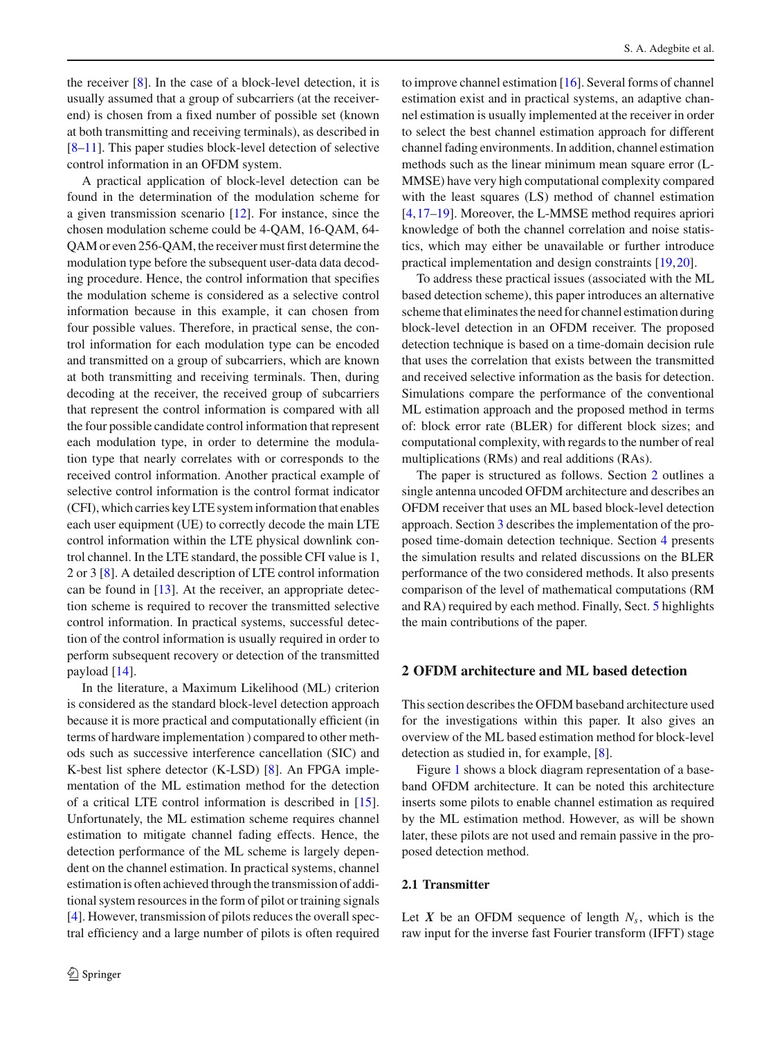the receiver  $[8]$  $[8]$ . In the case of a block-level detection, it is usually assumed that a group of subcarriers (at the receiverend) is chosen from a fixed number of possible set (known at both transmitting and receiving terminals), as described in [\[8](#page-9-4)[–11](#page-9-5)]. This paper studies block-level detection of selective control information in an OFDM system.

A practical application of block-level detection can be found in the determination of the modulation scheme for a given transmission scenario [\[12\]](#page-9-6). For instance, since the chosen modulation scheme could be 4-QAM, 16-QAM, 64- QAM or even 256-QAM, the receiver must first determine the modulation type before the subsequent user-data data decoding procedure. Hence, the control information that specifies the modulation scheme is considered as a selective control information because in this example, it can chosen from four possible values. Therefore, in practical sense, the control information for each modulation type can be encoded and transmitted on a group of subcarriers, which are known at both transmitting and receiving terminals. Then, during decoding at the receiver, the received group of subcarriers that represent the control information is compared with all the four possible candidate control information that represent each modulation type, in order to determine the modulation type that nearly correlates with or corresponds to the received control information. Another practical example of selective control information is the control format indicator (CFI), which carries key LTE system information that enables each user equipment (UE) to correctly decode the main LTE control information within the LTE physical downlink control channel. In the LTE standard, the possible CFI value is 1, 2 or 3 [\[8](#page-9-4)]. A detailed description of LTE control information can be found in [\[13](#page-9-7)]. At the receiver, an appropriate detection scheme is required to recover the transmitted selective control information. In practical systems, successful detection of the control information is usually required in order to perform subsequent recovery or detection of the transmitted payload [\[14](#page-9-8)].

In the literature, a Maximum Likelihood (ML) criterion is considered as the standard block-level detection approach because it is more practical and computationally efficient (in terms of hardware implementation ) compared to other methods such as successive interference cancellation (SIC) and K-best list sphere detector (K-LSD) [\[8](#page-9-4)]. An FPGA implementation of the ML estimation method for the detection of a critical LTE control information is described in [\[15](#page-9-9)]. Unfortunately, the ML estimation scheme requires channel estimation to mitigate channel fading effects. Hence, the detection performance of the ML scheme is largely dependent on the channel estimation. In practical systems, channel estimation is often achieved through the transmission of additional system resources in the form of pilot or training signals [\[4](#page-9-2)]. However, transmission of pilots reduces the overall spectral efficiency and a large number of pilots is often required to improve channel estimation [\[16\]](#page-9-10). Several forms of channel estimation exist and in practical systems, an adaptive channel estimation is usually implemented at the receiver in order to select the best channel estimation approach for different channel fading environments. In addition, channel estimation methods such as the linear minimum mean square error (L-MMSE) have very high computational complexity compared with the least squares (LS) method of channel estimation [\[4](#page-9-2),[17](#page-9-11)[–19\]](#page-9-12). Moreover, the L-MMSE method requires apriori knowledge of both the channel correlation and noise statistics, which may either be unavailable or further introduce practical implementation and design constraints [\[19](#page-9-12),[20\]](#page-9-13).

To address these practical issues (associated with the ML based detection scheme), this paper introduces an alternative scheme that eliminates the need for channel estimation during block-level detection in an OFDM receiver. The proposed detection technique is based on a time-domain decision rule that uses the correlation that exists between the transmitted and received selective information as the basis for detection. Simulations compare the performance of the conventional ML estimation approach and the proposed method in terms of: block error rate (BLER) for different block sizes; and computational complexity, with regards to the number of real multiplications (RMs) and real additions (RAs).

The paper is structured as follows. Section [2](#page-1-0) outlines a single antenna uncoded OFDM architecture and describes an OFDM receiver that uses an ML based block-level detection approach. Section [3](#page-3-0) describes the implementation of the proposed time-domain detection technique. Section [4](#page-5-0) presents the simulation results and related discussions on the BLER performance of the two considered methods. It also presents comparison of the level of mathematical computations (RM and RA) required by each method. Finally, Sect. [5](#page-8-0) highlights the main contributions of the paper.

#### <span id="page-1-0"></span>**2 OFDM architecture and ML based detection**

This section describes the OFDM baseband architecture used for the investigations within this paper. It also gives an overview of the ML based estimation method for block-level detection as studied in, for example, [\[8\]](#page-9-4).

Figure [1](#page-2-0) shows a block diagram representation of a baseband OFDM architecture. It can be noted this architecture inserts some pilots to enable channel estimation as required by the ML estimation method. However, as will be shown later, these pilots are not used and remain passive in the proposed detection method.

#### **2.1 Transmitter**

Let  $X$  be an OFDM sequence of length  $N_s$ , which is the raw input for the inverse fast Fourier transform (IFFT) stage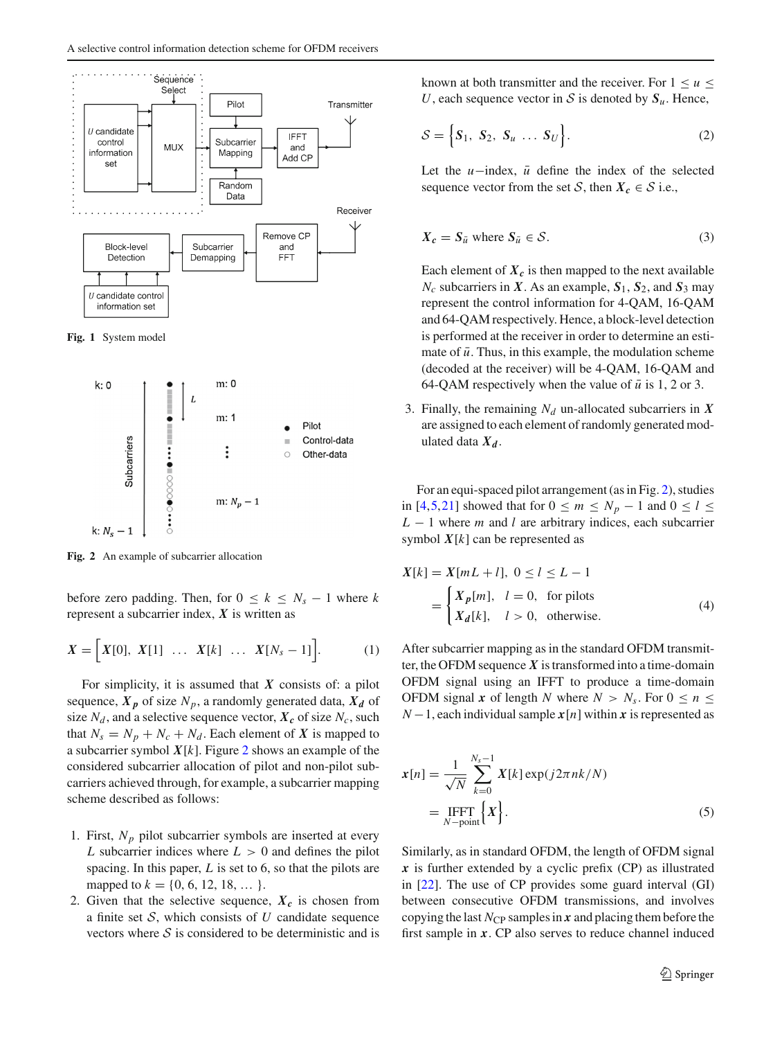

<span id="page-2-0"></span>**Fig. 1** System model



<span id="page-2-1"></span>**Fig. 2** An example of subcarrier allocation

before zero padding. Then, for  $0 \leq k \leq N_s - 1$  where *k* represent a subcarrier index, *X* is written as

$$
X = \Big[ X[0], \ X[1] \ \ldots \ X[k] \ \ldots \ X[N_s - 1] \Big]. \tag{1}
$$

For simplicity, it is assumed that *X* consists of: a pilot sequence,  $X_p$  of size  $N_p$ , a randomly generated data,  $X_d$  of size  $N_d$ , and a selective sequence vector,  $X_c$  of size  $N_c$ , such that  $N_s = N_p + N_c + N_d$ . Each element of X is mapped to a subcarrier symbol  $X[k]$ . Figure [2](#page-2-1) shows an example of the considered subcarrier allocation of pilot and non-pilot subcarriers achieved through, for example, a subcarrier mapping scheme described as follows:

- 1. First,  $N_p$  pilot subcarrier symbols are inserted at every *L* subcarrier indices where  $L > 0$  and defines the pilot spacing. In this paper, *L* is set to 6, so that the pilots are mapped to  $k = \{0, 6, 12, 18, \dots\}$ .
- 2. Given that the selective sequence,  $X_c$  is chosen from a finite set *S*, which consists of *U* candidate sequence vectors where *S* is considered to be deterministic and is

known at both transmitter and the receiver. For  $1 \le u \le$ *U*, each sequence vector in *S* is denoted by  $S_u$ . Hence,

$$
\mathcal{S} = \Big\{ \mathbf{S}_1, \ \mathbf{S}_2, \ \mathbf{S}_u \ \dots \ \mathbf{S}_U \Big\}. \tag{2}
$$

Let the  $u$ −index,  $\bar{u}$  define the index of the selected sequence vector from the set *S*, then  $X_c \in S$  i.e.,

$$
X_c = S_{\bar{u}} \text{ where } S_{\bar{u}} \in \mathcal{S}. \tag{3}
$$

Each element of  $X_c$  is then mapped to the next available  $N_c$  subcarriers in *X*. As an example,  $S_1$ ,  $S_2$ , and  $S_3$  may represent the control information for 4-QAM, 16-QAM and 64-QAM respectively. Hence, a block-level detection is performed at the receiver in order to determine an estimate of  $\bar{u}$ . Thus, in this example, the modulation scheme (decoded at the receiver) will be 4-QAM, 16-QAM and 64-QAM respectively when the value of  $\bar{u}$  is 1, 2 or 3.

3. Finally, the remaining  $N_d$  un-allocated subcarriers in  $X$ are assigned to each element of randomly generated modulated data  $X_d$ .

For an equi-spaced pilot arrangement (as in Fig. [2\)](#page-2-1), studies in [\[4](#page-9-2)[,5](#page-9-14),[21\]](#page-9-15) showed that for  $0 \le m \le N_p - 1$  and  $0 \le l \le$ *L* − 1 where *m* and *l* are arbitrary indices, each subcarrier symbol  $X[k]$  can be represented as

$$
X[k] = X[mL + l], \ 0 \le l \le L - 1
$$

$$
= \begin{cases} X_p[m], \ l = 0, \text{ for plots} \\ X_d[k], \ l > 0, \text{ otherwise.} \end{cases} (4)
$$

After subcarrier mapping as in the standard OFDM transmitter, the OFDM sequence  $X$  is transformed into a time-domain OFDM signal using an IFFT to produce a time-domain OFDM signal *x* of length *N* where  $N > N_s$ . For  $0 \le n \le$ *N* − 1, each individual sample  $x[n]$  within *x* is represented as

$$
\begin{aligned} \mathbf{x}[n] &= \frac{1}{\sqrt{N}} \sum_{k=0}^{N_s - 1} \mathbf{X}[k] \exp(j2\pi nk/N) \\ &= \underset{N-\text{point}}{\text{IFFT}} \Big\{ X \Big\}. \end{aligned} \tag{5}
$$

Similarly, as in standard OFDM, the length of OFDM signal *x* is further extended by a cyclic prefix (CP) as illustrated in [\[22\]](#page-9-16). The use of CP provides some guard interval (GI) between consecutive OFDM transmissions, and involves copying the last  $N_{\text{CP}}$  samples in  $x$  and placing them before the first sample in *x*. CP also serves to reduce channel induced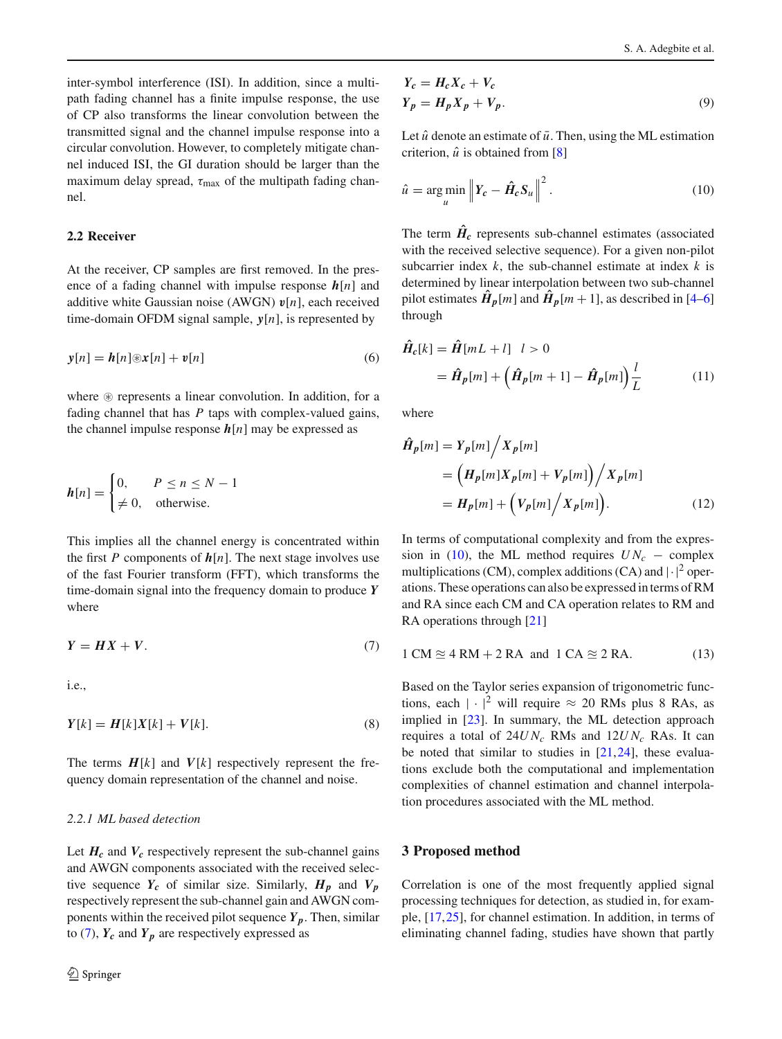inter-symbol interference (ISI). In addition, since a multipath fading channel has a finite impulse response, the use of CP also transforms the linear convolution between the transmitted signal and the channel impulse response into a circular convolution. However, to completely mitigate channel induced ISI, the GI duration should be larger than the maximum delay spread,  $\tau_{\text{max}}$  of the multipath fading channel.

### **2.2 Receiver**

At the receiver, CP samples are first removed. In the presence of a fading channel with impulse response *h*[*n*] and additive white Gaussian noise (AWGN) *v*[*n*], each received time-domain OFDM signal sample, *y*[*n*], is represented by

$$
\mathbf{y}[n] = \mathbf{h}[n] \otimes \mathbf{x}[n] + \mathbf{v}[n] \tag{6}
$$

where  $\circledast$  represents a linear convolution. In addition, for a fading channel that has *P* taps with complex-valued gains, the channel impulse response  $h[n]$  may be expressed as

$$
h[n] = \begin{cases} 0, & P \le n \le N - 1 \\ \neq 0, & \text{otherwise.} \end{cases}
$$

This implies all the channel energy is concentrated within the first *P* components of  $h[n]$ . The next stage involves use of the fast Fourier transform (FFT), which transforms the time-domain signal into the frequency domain to produce *Y* where

$$
Y = HX + V. \tag{7}
$$

i.e.,

$$
Y[k] = H[k]X[k] + V[k].
$$
\n<sup>(8)</sup>

The terms  $H[k]$  and  $V[k]$  respectively represent the frequency domain representation of the channel and noise.

#### *2.2.1 ML based detection*

Let  $H_c$  and  $V_c$  respectively represent the sub-channel gains and AWGN components associated with the received selective sequence  $Y_c$  of similar size. Similarly,  $H_p$  and  $V_p$ respectively represent the sub-channel gain and AWGN components within the received pilot sequence  $Y_p$ . Then, similar to  $(7)$ ,  $Y_c$  and  $Y_p$  are respectively expressed as

$$
Y_c = H_c X_c + V_c
$$
  
\n
$$
Y_p = H_p X_p + V_p.
$$
\n(9)

Let  $\hat{u}$  denote an estimate of  $\bar{u}$ . Then, using the ML estimation criterion,  $\hat{u}$  is obtained from [\[8\]](#page-9-4)

<span id="page-3-2"></span>
$$
\hat{u} = \underset{u}{\arg\min} \left\| Y_c - \hat{H}_c S_u \right\|^2. \tag{10}
$$

The term  $\hat{H}_c$  represents sub-channel estimates (associated with the received selective sequence). For a given non-pilot subcarrier index *k*, the sub-channel estimate at index *k* is determined by linear interpolation between two sub-channel pilot estimates  $\hat{H}_p[m]$  and  $\hat{H}_p[m+1]$ , as described in [\[4](#page-9-2)[–6\]](#page-9-17) through

$$
\begin{aligned} \tilde{H}_c[k] &= \tilde{H}[mL+l] \quad l > 0 \\ &= \hat{H}_p[m] + \left(\hat{H}_p[m+1] - \hat{H}_p[m]\right) \frac{l}{L} \end{aligned} \tag{11}
$$

where

$$
\hat{H}_p[m] = Y_p[m] / X_p[m] \n= (H_p[m]X_p[m] + V_p[m]) / X_p[m] \n= H_p[m] + (V_p[m] / X_p[m]).
$$
\n(12)

In terms of computational complexity and from the expres-sion in [\(10\)](#page-3-2), the ML method requires  $UN_c$  – complex multiplications (CM), complex additions (CA) and  $|\cdot|^2$  operations. These operations can also be expressed in terms of RM and RA since each CM and CA operation relates to RM and RA operations through [\[21](#page-9-15)]

<span id="page-3-1"></span>
$$
1 CM \approx 4 RM + 2 RA \text{ and } 1 CA \approx 2 RA. \tag{13}
$$

Based on the Taylor series expansion of trigonometric functions, each  $|\cdot|^2$  will require  $\approx 20$  RMs plus 8 RAs, as implied in [\[23\]](#page-9-18). In summary, the ML detection approach requires a total of 24*U Nc* RMs and 12*U Nc* RAs. It can be noted that similar to studies in  $[21,24]$  $[21,24]$  $[21,24]$  $[21,24]$ , these evaluations exclude both the computational and implementation complexities of channel estimation and channel interpolation procedures associated with the ML method.

#### <span id="page-3-0"></span>**3 Proposed method**

Correlation is one of the most frequently applied signal processing techniques for detection, as studied in, for example, [\[17,](#page-9-11)[25\]](#page-9-20), for channel estimation. In addition, in terms of eliminating channel fading, studies have shown that partly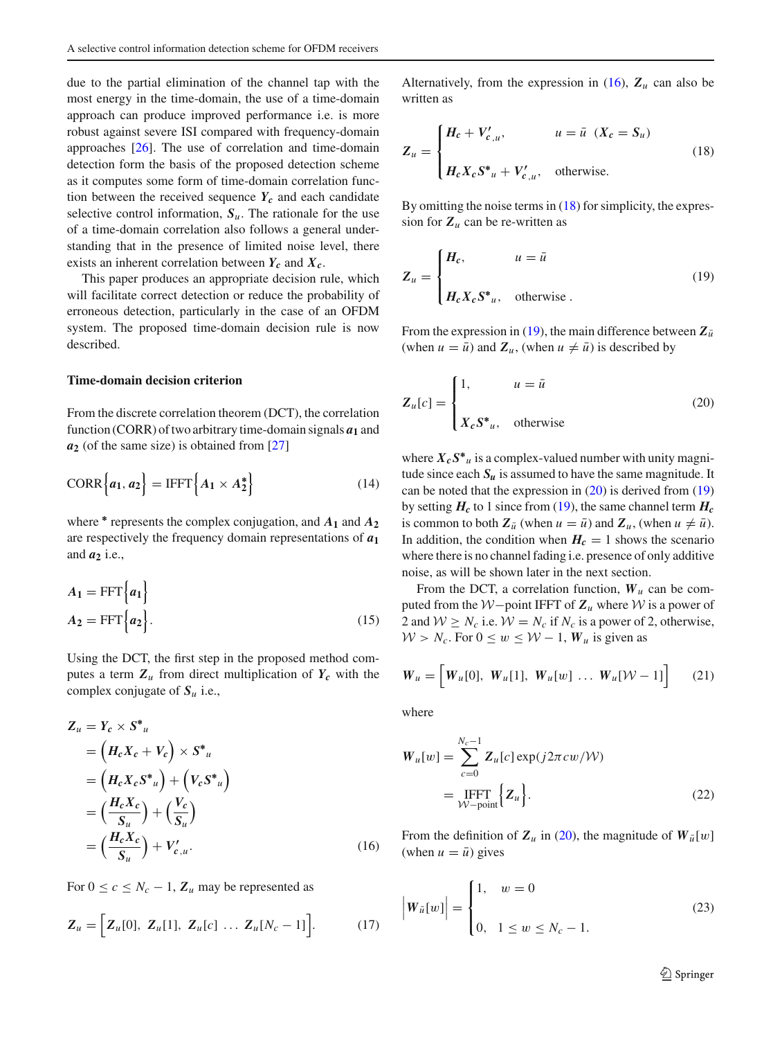due to the partial elimination of the channel tap with the most energy in the time-domain, the use of a time-domain approach can produce improved performance i.e. is more robust against severe ISI compared with frequency-domain approaches [\[26](#page-9-21)]. The use of correlation and time-domain detection form the basis of the proposed detection scheme as it computes some form of time-domain correlation function between the received sequence  $Y_c$  and each candidate selective control information,  $S_u$ . The rationale for the use of a time-domain correlation also follows a general understanding that in the presence of limited noise level, there exists an inherent correlation between  $Y_c$  and  $X_c$ .

This paper produces an appropriate decision rule, which will facilitate correct detection or reduce the probability of erroneous detection, particularly in the case of an OFDM system. The proposed time-domain decision rule is now described.

#### **Time-domain decision criterion**

From the discrete correlation theorem (DCT), the correlation function (CORR) of two arbitrary time-domain signals *a***<sup>1</sup>** and *a***<sup>2</sup>** (of the same size) is obtained from [\[27](#page-9-22)]

$$
CORR{a1, a2} = IFFT{A1 × A2*}
$$
 (14)

where  $*$  represents the complex conjugation, and  $A_1$  and  $A_2$ are respectively the frequency domain representations of *a***<sup>1</sup>** and  $a_2$  i.e.,

$$
A_1 = \text{FFT}\left\{a_1\right\}
$$
  

$$
A_2 = \text{FFT}\left\{a_2\right\}.
$$
 (15)

Using the DCT, the first step in the proposed method computes a term  $Z_u$  from direct multiplication of  $Y_c$  with the complex conjugate of *S<sup>u</sup>* i.e.,

$$
Z_u = Y_c \times S^* u
$$
  
=  $(H_c X_c + V_c) \times S^* u$   
=  $(H_c X_c S^* u) + (V_c S^* u)$   
=  $(\frac{H_c X_c}{S_u}) + (\frac{V_c}{S_u})$   
=  $(\frac{H_c X_c}{S_u}) + V'_{c,u}.$  (16)

For  $0 \le c \le N_c - 1$ ,  $\mathbb{Z}_u$  may be represented as

$$
\mathbf{Z}_u = \Big[\mathbf{Z}_u[0], \ \mathbf{Z}_u[1], \ \mathbf{Z}_u[c] \ \dots \ \mathbf{Z}_u[N_c-1]\Big]. \tag{17}
$$

Alternatively, from the expression in  $(16)$ ,  $Z_u$  can also be written as

<span id="page-4-1"></span>
$$
Z_u = \begin{cases} H_c + V'_{c,u}, & u = \bar{u} \ (X_c = S_u) \\ H_c X_c S^*_{u} + V'_{c,u}, & \text{otherwise.} \end{cases}
$$
(18)

By omitting the noise terms in  $(18)$  for simplicity, the expression for  $Z_u$  can be re-written as

<span id="page-4-2"></span>
$$
Z_u = \begin{cases} H_c, & u = \bar{u} \\ H_c X_c S^* u, & \text{otherwise} \end{cases}
$$
 (19)

From the expression in [\(19\)](#page-4-2), the main difference between  $Z_{\bar{u}}$ (when  $u = \bar{u}$ ) and  $\mathbf{Z}_u$ , (when  $u \neq \bar{u}$ ) is described by

<span id="page-4-3"></span>
$$
Z_u[c] = \begin{cases} 1, & u = \bar{u} \\ X_c S^*_{u}, & \text{otherwise} \end{cases}
$$
 (20)

where  $X_c S^*$ <sup>*u*</sup> is a complex-valued number with unity magnitude since each  $S_u$  is assumed to have the same magnitude. It can be noted that the expression in  $(20)$  is derived from  $(19)$ by setting  $H_c$  to 1 since from [\(19\)](#page-4-2), the same channel term  $H_c$ is common to both  $Z_{\bar{u}}$  (when  $u = \bar{u}$ ) and  $Z_u$ , (when  $u \neq \bar{u}$ ). In addition, the condition when  $H_c = 1$  shows the scenario where there is no channel fading i.e. presence of only additive noise, as will be shown later in the next section.

From the DCT, a correlation function,  $W_u$  can be computed from the *W*−point IFFT of *Z<sup>u</sup>* where *W* is a power of 2 and  $W \ge N_c$  i.e.  $W = N_c$  if  $N_c$  is a power of 2, otherwise,  $W > N_c$ . For  $0 \le w \le W - 1$ ,  $W_u$  is given as

$$
W_u = \begin{bmatrix} W_u[0], & W_u[1], & W_u[w] & \dots & W_u[W-1] \end{bmatrix}
$$
 (21)

where

$$
W_u[w] = \sum_{c=0}^{N_c-1} Z_u[c] \exp(j2\pi c w / \mathcal{W})
$$
  
= 
$$
\underset{\mathcal{W}-\text{point}}{\text{IFFT}} \Big\{ Z_u \Big\}.
$$
 (22)

<span id="page-4-0"></span>From the definition of  $Z_u$  in [\(20\)](#page-4-3), the magnitude of  $W_{\bar{u}}[w]$ (when  $u = \bar{u}$ ) gives

<span id="page-4-4"></span>
$$
\left| W_{\bar{u}}[w] \right| = \begin{cases} 1, & w = 0 \\ 0, & 1 \le w \le N_c - 1. \end{cases}
$$
 (23)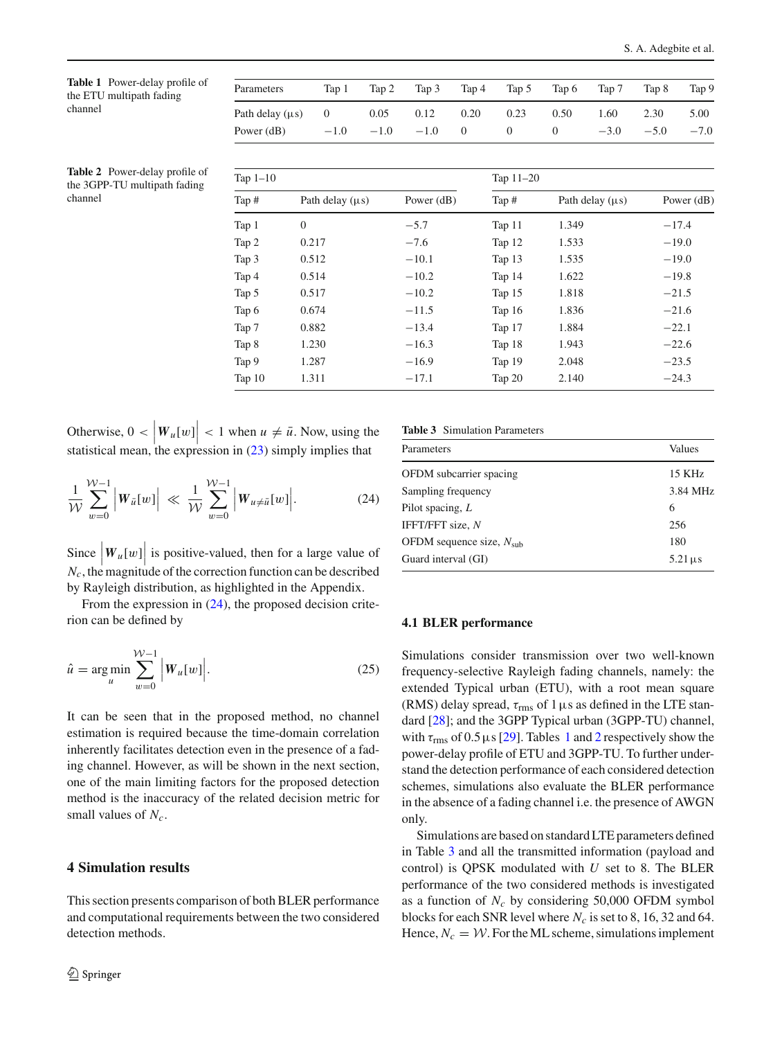<span id="page-5-2"></span>**Table 1** Power-delay profile of the ETU multipath fading channel

| Parameters                             | Tap 1 | Tap 2                  | Tap 3 | $\Gamma$ Tap 4 | Tap 5    | Tap 6            | Tap 7  | Tap 8  | Tap 9  |
|----------------------------------------|-------|------------------------|-------|----------------|----------|------------------|--------|--------|--------|
| Path delay ( $\mu$ s) 0 0.05 0.12 0.20 |       |                        |       |                | 0.23     | 0.50             | 1.60   | 2.30   | 5.00   |
| Power $(dB)$                           |       | $-1.0$ $-1.0$ $-1.0$ 0 |       |                | $\theta$ | $\left( \right)$ | $-3.0$ | $-5.0$ | $-7.0$ |

<span id="page-5-3"></span>**Table 2** Power-delay profile of the 3GPP-TU multipath fading channel

| Tap $1-10$ |                      |              | Tap $11-20$ |                      |              |  |
|------------|----------------------|--------------|-------------|----------------------|--------------|--|
| Tap #      | Path delay $(\mu s)$ | Power $(dB)$ | Tap #       | Path delay $(\mu s)$ | Power $(dB)$ |  |
| Tap 1      | $\theta$             | $-5.7$       | Tap 11      | 1.349                | $-17.4$      |  |
| Tap 2      | 0.217                | $-7.6$       | Tap 12      | 1.533                | $-19.0$      |  |
| Tap 3      | 0.512                | $-10.1$      | Tap 13      | 1.535                | $-19.0$      |  |
| Tap 4      | 0.514                | $-10.2$      | Tap 14      | 1.622                | $-19.8$      |  |
| Tap 5      | 0.517                | $-10.2$      | Tap 15      | 1.818                | $-21.5$      |  |
| Tap 6      | 0.674                | $-11.5$      | Tap $16$    | 1.836                | $-21.6$      |  |
| Tap 7      | 0.882                | $-13.4$      | Tap 17      | 1.884                | $-22.1$      |  |
| Tap 8      | 1.230                | $-16.3$      | Tap 18      | 1.943                | $-22.6$      |  |
| Tap 9      | 1.287                | $-16.9$      | Tap 19      | 2.048                | $-23.5$      |  |
| Tap $10$   | 1.311                | $-17.1$      | Tap 20      | 2.140                | $-24.3$      |  |

Otherwise,  $0 < |W_u[w]| < 1$  when  $u \neq \bar{u}$ . Now, using the statistical mean, the expression in  $(23)$  simply implies that

$$
\frac{1}{\mathcal{W}}\sum_{w=0}^{\mathcal{W}-1} \left| W_{\bar{u}}[w] \right| \ll \frac{1}{\mathcal{W}}\sum_{w=0}^{\mathcal{W}-1} \left| W_{u \neq \bar{u}}[w] \right|.
$$
 (24)

Since  $\left| W_u[w] \right|$  is positive-valued, then for a large value of  $N_c$ , the magnitude of the correction function can be described by Rayleigh distribution, as highlighted in the Appendix.

From the expression in  $(24)$ , the proposed decision criterion can be defined by

$$
\hat{u} = \underset{u}{\arg\min} \sum_{w=0}^{W-1} |W_u[w]|. \tag{25}
$$

It can be seen that in the proposed method, no channel estimation is required because the time-domain correlation inherently facilitates detection even in the presence of a fading channel. However, as will be shown in the next section, one of the main limiting factors for the proposed detection method is the inaccuracy of the related decision metric for small values of *Nc*.

## <span id="page-5-0"></span>**4 Simulation results**

This section presents comparison of both BLER performance and computational requirements between the two considered detection methods.

**Table 3** Simulation Parameters

<span id="page-5-4"></span><span id="page-5-1"></span>

| Parameters                    | Values                  |
|-------------------------------|-------------------------|
| OFDM subcarrier spacing       | 15 KHz                  |
| Sampling frequency            | 3.84 MHz                |
| Pilot spacing, $L$            | 6                       |
| IFFT/FFT size, N              | 256                     |
| OFDM sequence size, $N_{sub}$ | 180                     |
| Guard interval (GI)           | $5.21 \,\mathrm{\mu s}$ |

#### **4.1 BLER performance**

<span id="page-5-5"></span>Simulations consider transmission over two well-known frequency-selective Rayleigh fading channels, namely: the extended Typical urban (ETU), with a root mean square (RMS) delay spread,  $\tau_{\rm rms}$  of 1  $\mu$ s as defined in the LTE standard [\[28\]](#page-9-23); and the 3GPP Typical urban (3GPP-TU) channel, with  $\tau_{\rm rms}$  of 0.5  $\mu$ s [\[29](#page-9-24)]. Tables [1](#page-5-2) and [2](#page-5-3) respectively show the power-delay profile of ETU and 3GPP-TU. To further understand the detection performance of each considered detection schemes, simulations also evaluate the BLER performance in the absence of a fading channel i.e. the presence of AWGN only.

Simulations are based on standard LTE parameters defined in Table [3](#page-5-4) and all the transmitted information (payload and control) is QPSK modulated with *U* set to 8. The BLER performance of the two considered methods is investigated as a function of  $N_c$  by considering 50,000 OFDM symbol blocks for each SNR level where  $N_c$  is set to 8, 16, 32 and 64. Hence,  $N_c = W$ . For the ML scheme, simulations implement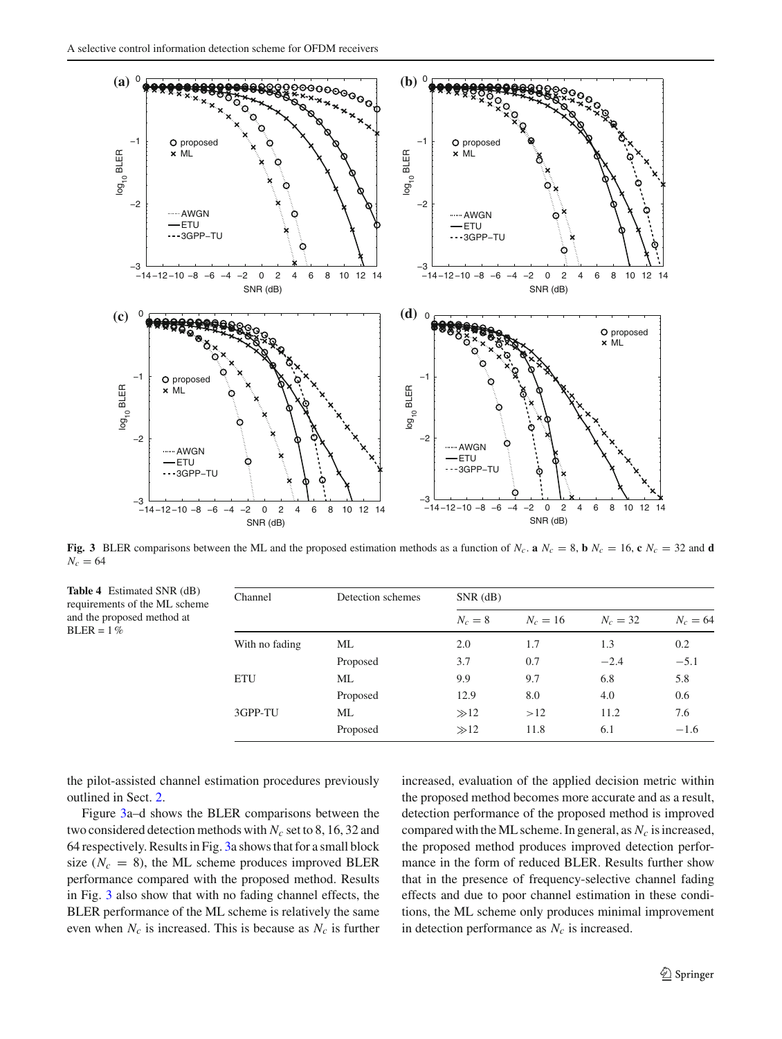

<span id="page-6-0"></span>**Fig. 3** BLER comparisons between the ML and the proposed estimation methods as a function of  $N_c$ . **a**  $N_c = 8$ , **b**  $N_c = 16$ , **c**  $N_c = 32$  and **d**  $N_c = 64$ 

<span id="page-6-1"></span>

| <b>Table 4</b> Estimated SNR (dB)<br>requirements of the ML scheme | Channel        | Detection schemes | $SNR$ (dB) |            |            |            |  |  |
|--------------------------------------------------------------------|----------------|-------------------|------------|------------|------------|------------|--|--|
| and the proposed method at<br>$BLER = 1\%$                         |                |                   | $N_c=8$    | $N_c = 16$ | $N_c = 32$ | $N_c = 64$ |  |  |
|                                                                    | With no fading | ML                | 2.0        | 1.7        | 1.3        | 0.2        |  |  |
|                                                                    |                | Proposed          | 3.7        | 0.7        | $-2.4$     | $-5.1$     |  |  |
|                                                                    | ETU            | ML                | 9.9        | 9.7        | 6.8        | 5.8        |  |  |
|                                                                    |                | Proposed          | 12.9       | 8.0        | 4.0        | 0.6        |  |  |
|                                                                    | 3GPP-TU        | ML                | $\gg 12$   | >12        | 11.2       | 7.6        |  |  |
|                                                                    |                | Proposed          | $\gg 12$   | 11.8       | 6.1        | $-1.6$     |  |  |

the pilot-assisted channel estimation procedures previously outlined in Sect. [2.](#page-1-0)

Figure [3a](#page-6-0)–d shows the BLER comparisons between the two considered detection methods with *Nc* set to 8, 16, 32 and 64 respectively. Results in Fig. [3a](#page-6-0) shows that for a small block size  $(N_c = 8)$ , the ML scheme produces improved BLER performance compared with the proposed method. Results in Fig. [3](#page-6-0) also show that with no fading channel effects, the BLER performance of the ML scheme is relatively the same even when  $N_c$  is increased. This is because as  $N_c$  is further increased, evaluation of the applied decision metric within the proposed method becomes more accurate and as a result, detection performance of the proposed method is improved compared with the ML scheme. In general, as  $N_c$  is increased, the proposed method produces improved detection performance in the form of reduced BLER. Results further show that in the presence of frequency-selective channel fading effects and due to poor channel estimation in these conditions, the ML scheme only produces minimal improvement in detection performance as  $N_c$  is increased.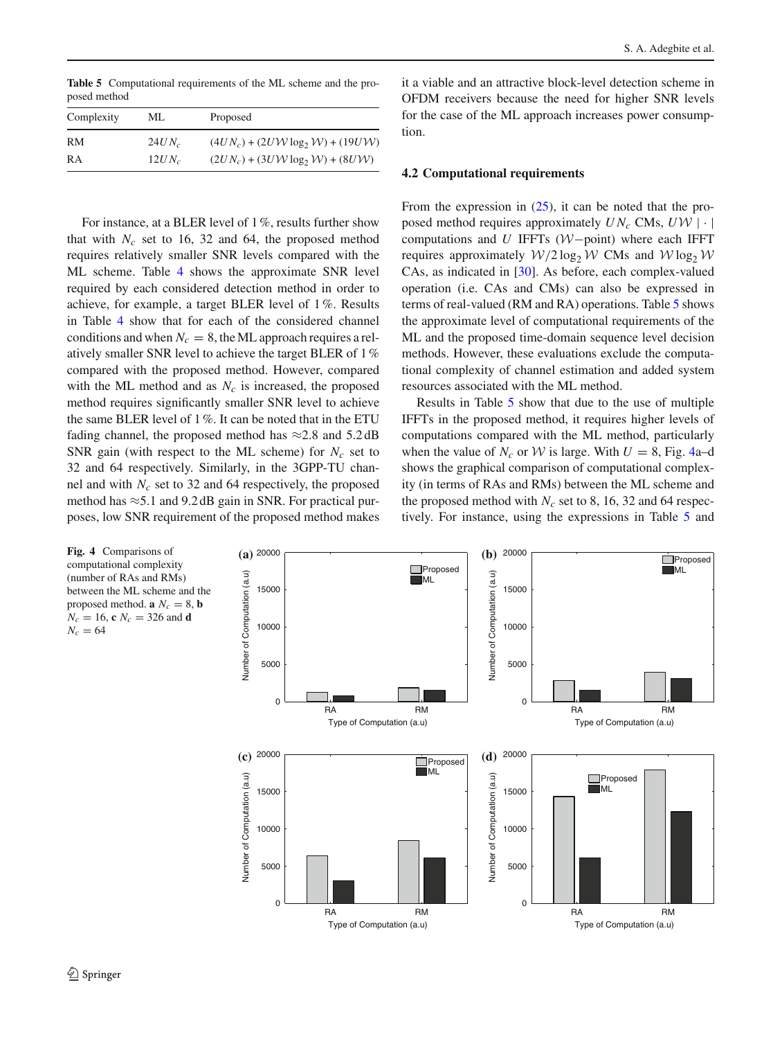<span id="page-7-0"></span>**Table 5** Computational requirements of the ML scheme and the proposed method

| Complexity | МL       | Proposed                            |
|------------|----------|-------------------------------------|
| RM         | $24UN_c$ | $(4UN_c) + (2UV \log_2 W) + (19UV)$ |
| RA         | $12UN_c$ | $(2UN_c) + (3UV \log_2 W) + (8UV)$  |

For instance, at a BLER level of 1%, results further show that with  $N_c$  set to 16, 32 and 64, the proposed method requires relatively smaller SNR levels compared with the ML scheme. Table [4](#page-6-1) shows the approximate SNR level required by each considered detection method in order to achieve, for example, a target BLER level of 1%. Results in Table [4](#page-6-1) show that for each of the considered channel conditions and when  $N_c = 8$ , the ML approach requires a relatively smaller SNR level to achieve the target BLER of 1% compared with the proposed method. However, compared with the ML method and as  $N_c$  is increased, the proposed method requires significantly smaller SNR level to achieve the same BLER level of 1%. It can be noted that in the ETU fading channel, the proposed method has  $\approx$  2.8 and 5.2 dB SNR gain (with respect to the ML scheme) for  $N_c$  set to 32 and 64 respectively. Similarly, in the 3GPP-TU channel and with *Nc* set to 32 and 64 respectively, the proposed method has  $\approx$  5.1 and 9.2 dB gain in SNR. For practical purposes, low SNR requirement of the proposed method makes it a viable and an attractive block-level detection scheme in OFDM receivers because the need for higher SNR levels for the case of the ML approach increases power consumption.

#### **4.2 Computational requirements**

From the expression in  $(25)$ , it can be noted that the proposed method requires approximately  $UN_c$  CMs,  $UV$  | · | computations and *U* IFFTs (*W*−point) where each IFFT requires approximately  $W/2 \log_2 W$  CMs and  $W \log_2 W$ CAs, as indicated in [\[30\]](#page-9-25). As before, each complex-valued operation (i.e. CAs and CMs) can also be expressed in terms of real-valued (RM and RA) operations. Table [5](#page-7-0) shows the approximate level of computational requirements of the ML and the proposed time-domain sequence level decision methods. However, these evaluations exclude the computational complexity of channel estimation and added system resources associated with the ML method.

Results in Table [5](#page-7-0) show that due to the use of multiple IFFTs in the proposed method, it requires higher levels of computations compared with the ML method, particularly when the value of  $N_c$  or W is large. With  $U = 8$ , Fig. [4a](#page-7-1)–d shows the graphical comparison of computational complexity (in terms of RAs and RMs) between the ML scheme and the proposed method with  $N_c$  set to 8, 16, 32 and 64 respectively. For instance, using the expressions in Table [5](#page-7-0) and

<span id="page-7-1"></span>

 $N_c = 64$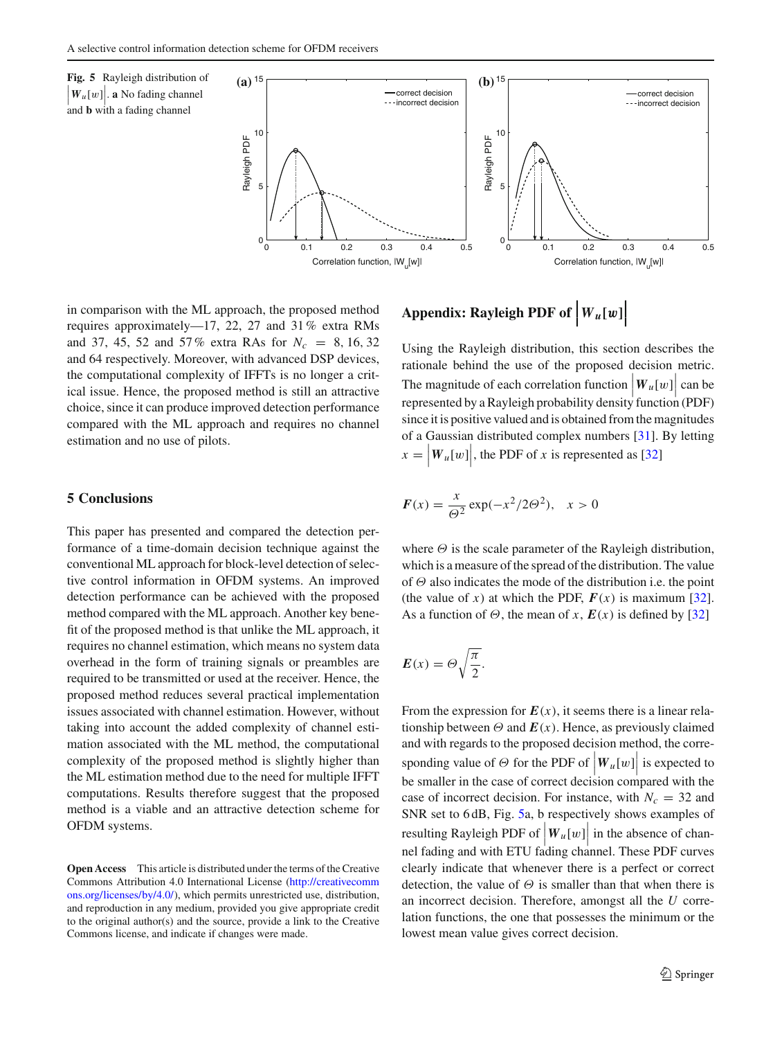<span id="page-8-1"></span>

in comparison with the ML approach, the proposed method requires approximately—17, 22, 27 and 31% extra RMs and 37, 45, 52 and 57% extra RAs for *Nc* = 8, 16, 32 and 64 respectively. Moreover, with advanced DSP devices, the computational complexity of IFFTs is no longer a critical issue. Hence, the proposed method is still an attractive choice, since it can produce improved detection performance compared with the ML approach and requires no channel estimation and no use of pilots.

#### <span id="page-8-0"></span>**5 Conclusions**

This paper has presented and compared the detection performance of a time-domain decision technique against the conventional ML approach for block-level detection of selective control information in OFDM systems. An improved detection performance can be achieved with the proposed method compared with the ML approach. Another key benefit of the proposed method is that unlike the ML approach, it requires no channel estimation, which means no system data overhead in the form of training signals or preambles are required to be transmitted or used at the receiver. Hence, the proposed method reduces several practical implementation issues associated with channel estimation. However, without taking into account the added complexity of channel estimation associated with the ML method, the computational complexity of the proposed method is slightly higher than the ML estimation method due to the need for multiple IFFT computations. Results therefore suggest that the proposed method is a viable and an attractive detection scheme for OFDM systems.

**Open Access** This article is distributed under the terms of the Creative Commons Attribution 4.0 International License [\(http://creativecomm](http://creativecommons.org/licenses/by/4.0/) [ons.org/licenses/by/4.0/\)](http://creativecommons.org/licenses/by/4.0/), which permits unrestricted use, distribution, and reproduction in any medium, provided you give appropriate credit to the original author(s) and the source, provide a link to the Creative Commons license, and indicate if changes were made.

# Appendix: Rayleigh PDF of  $\bigg|W_u[w]\bigg|$

Using the Rayleigh distribution, this section describes the rationale behind the use of the proposed decision metric. The magnitude of each correlation function  $|W_u[w]|$  can be represented by a Rayleigh probability density function (PDF) since it is positive valued and is obtained from the magnitudes of a Gaussian distributed complex numbers [\[31\]](#page-9-26). By letting  $x = |W_u[w]|$ , the PDF of *x* is represented as [\[32\]](#page-9-27)

$$
F(x) = \frac{x}{\Theta^2} \exp(-x^2/2\Theta^2), \quad x > 0
$$

where  $\Theta$  is the scale parameter of the Rayleigh distribution, which is a measure of the spread of the distribution. The value of  $\Theta$  also indicates the mode of the distribution i.e. the point (the value of *x*) at which the PDF,  $F(x)$  is maximum [\[32](#page-9-27)]. As a function of  $\Theta$ , the mean of *x*,  $E(x)$  is defined by [\[32](#page-9-27)]

$$
E(x) = \Theta \sqrt{\frac{\pi}{2}}.
$$

From the expression for  $E(x)$ , it seems there is a linear relationship between  $\Theta$  and  $E(x)$ . Hence, as previously claimed and with regards to the proposed decision method, the corresponding value of  $\Theta$  for the PDF of  $\left| W_u[w] \right|$  is expected to  $\begin{bmatrix} 1 & 1 \\ 1 & 1 \end{bmatrix}$  be smaller in the case of correct decision compared with the case of incorrect decision. For instance, with  $N_c = 32$  and SNR set to 6dB, Fig. [5a](#page-8-1), b respectively shows examples of resulting Rayleigh PDF of  $\left| W_u[w] \right|$  in the absence of channel fading and with ETU fading channel. These PDF curves clearly indicate that whenever there is a perfect or correct detection, the value of  $\Theta$  is smaller than that when there is an incorrect decision. Therefore, amongst all the *U* correlation functions, the one that possesses the minimum or the lowest mean value gives correct decision.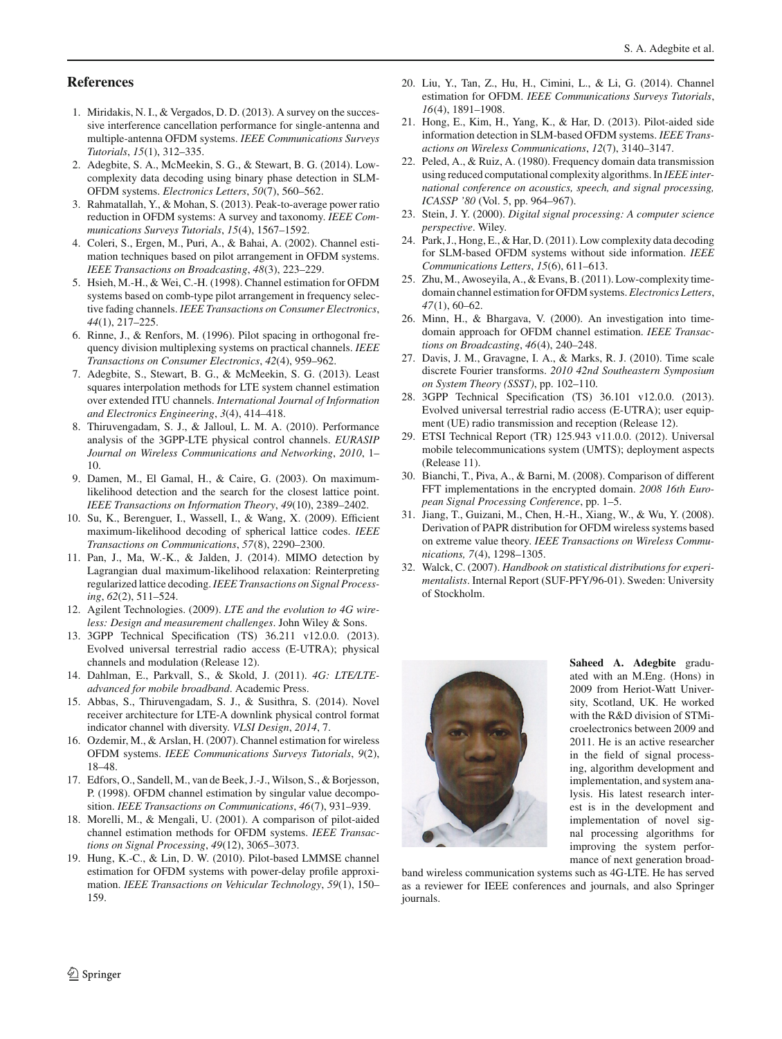#### **References**

- <span id="page-9-0"></span>1. Miridakis, N. I., & Vergados, D. D. (2013). A survey on the successive interference cancellation performance for single-antenna and multiple-antenna OFDM systems. *IEEE Communications Surveys Tutorials*, *15*(1), 312–335.
- 2. Adegbite, S. A., McMeekin, S. G., & Stewart, B. G. (2014). Lowcomplexity data decoding using binary phase detection in SLM-OFDM systems. *Electronics Letters*, *50*(7), 560–562.
- <span id="page-9-1"></span>3. Rahmatallah, Y., & Mohan, S. (2013). Peak-to-average power ratio reduction in OFDM systems: A survey and taxonomy. *IEEE Communications Surveys Tutorials*, *15*(4), 1567–1592.
- <span id="page-9-2"></span>4. Coleri, S., Ergen, M., Puri, A., & Bahai, A. (2002). Channel estimation techniques based on pilot arrangement in OFDM systems. *IEEE Transactions on Broadcasting*, *48*(3), 223–229.
- <span id="page-9-14"></span>5. Hsieh, M.-H., & Wei, C.-H. (1998). Channel estimation for OFDM systems based on comb-type pilot arrangement in frequency selective fading channels. *IEEE Transactions on Consumer Electronics*, *44*(1), 217–225.
- <span id="page-9-17"></span>6. Rinne, J., & Renfors, M. (1996). Pilot spacing in orthogonal frequency division multiplexing systems on practical channels. *IEEE Transactions on Consumer Electronics*, *42*(4), 959–962.
- <span id="page-9-3"></span>7. Adegbite, S., Stewart, B. G., & McMeekin, S. G. (2013). Least squares interpolation methods for LTE system channel estimation over extended ITU channels. *International Journal of Information and Electronics Engineering*, *3*(4), 414–418.
- <span id="page-9-4"></span>8. Thiruvengadam, S. J., & Jalloul, L. M. A. (2010). Performance analysis of the 3GPP-LTE physical control channels. *EURASIP Journal on Wireless Communications and Networking*, *2010*, 1– 10.
- 9. Damen, M., El Gamal, H., & Caire, G. (2003). On maximumlikelihood detection and the search for the closest lattice point. *IEEE Transactions on Information Theory*, *49*(10), 2389–2402.
- 10. Su, K., Berenguer, I., Wassell, I., & Wang, X. (2009). Efficient maximum-likelihood decoding of spherical lattice codes. *IEEE Transactions on Communications*, *57*(8), 2290–2300.
- <span id="page-9-5"></span>11. Pan, J., Ma, W.-K., & Jalden, J. (2014). MIMO detection by Lagrangian dual maximum-likelihood relaxation: Reinterpreting regularized lattice decoding.*IEEE Transactions on Signal Processing*, *62*(2), 511–524.
- <span id="page-9-6"></span>12. Agilent Technologies. (2009). *LTE and the evolution to 4G wireless: Design and measurement challenges*. John Wiley & Sons.
- <span id="page-9-7"></span>13. 3GPP Technical Specification (TS) 36.211 v12.0.0. (2013). Evolved universal terrestrial radio access (E-UTRA); physical channels and modulation (Release 12).
- <span id="page-9-8"></span>14. Dahlman, E., Parkvall, S., & Skold, J. (2011). *4G: LTE/LTEadvanced for mobile broadband*. Academic Press.
- <span id="page-9-9"></span>15. Abbas, S., Thiruvengadam, S. J., & Susithra, S. (2014). Novel receiver architecture for LTE-A downlink physical control format indicator channel with diversity. *VLSI Design*, *2014*, 7.
- <span id="page-9-10"></span>16. Ozdemir, M., & Arslan, H. (2007). Channel estimation for wireless OFDM systems. *IEEE Communications Surveys Tutorials*, *9*(2), 18–48.
- <span id="page-9-11"></span>17. Edfors, O., Sandell, M., van de Beek, J.-J., Wilson, S., & Borjesson, P. (1998). OFDM channel estimation by singular value decomposition. *IEEE Transactions on Communications*, *46*(7), 931–939.
- 18. Morelli, M., & Mengali, U. (2001). A comparison of pilot-aided channel estimation methods for OFDM systems. *IEEE Transactions on Signal Processing*, *49*(12), 3065–3073.
- <span id="page-9-12"></span>19. Hung, K.-C., & Lin, D. W. (2010). Pilot-based LMMSE channel estimation for OFDM systems with power-delay profile approximation. *IEEE Transactions on Vehicular Technology*, *59*(1), 150– 159.
- <span id="page-9-13"></span>20. Liu, Y., Tan, Z., Hu, H., Cimini, L., & Li, G. (2014). Channel estimation for OFDM. *IEEE Communications Surveys Tutorials*, *16*(4), 1891–1908.
- <span id="page-9-15"></span>21. Hong, E., Kim, H., Yang, K., & Har, D. (2013). Pilot-aided side information detection in SLM-based OFDM systems. *IEEE Transactions on Wireless Communications*, *12*(7), 3140–3147.
- <span id="page-9-16"></span>22. Peled, A., & Ruiz, A. (1980). Frequency domain data transmission using reduced computational complexity algorithms. In *IEEE international conference on acoustics, speech, and signal processing, ICASSP '80* (Vol. 5, pp. 964–967).
- <span id="page-9-18"></span>23. Stein, J. Y. (2000). *Digital signal processing: A computer science perspective*. Wiley.
- <span id="page-9-19"></span>24. Park, J., Hong, E., & Har, D. (2011). Low complexity data decoding for SLM-based OFDM systems without side information. *IEEE Communications Letters*, *15*(6), 611–613.
- <span id="page-9-20"></span>25. Zhu, M., Awoseyila, A., & Evans, B. (2011). Low-complexity timedomain channel estimation for OFDM systems.*Electronics Letters*, *47*(1), 60–62.
- <span id="page-9-21"></span>26. Minn, H., & Bhargava, V. (2000). An investigation into timedomain approach for OFDM channel estimation. *IEEE Transactions on Broadcasting*, *46*(4), 240–248.
- <span id="page-9-22"></span>27. Davis, J. M., Gravagne, I. A., & Marks, R. J. (2010). Time scale discrete Fourier transforms. *2010 42nd Southeastern Symposium on System Theory (SSST)*, pp. 102–110.
- <span id="page-9-23"></span>28. 3GPP Technical Specification (TS) 36.101 v12.0.0. (2013). Evolved universal terrestrial radio access (E-UTRA); user equipment (UE) radio transmission and reception (Release 12).
- <span id="page-9-24"></span>29. ETSI Technical Report (TR) 125.943 v11.0.0. (2012). Universal mobile telecommunications system (UMTS); deployment aspects (Release 11).
- <span id="page-9-25"></span>30. Bianchi, T., Piva, A., & Barni, M. (2008). Comparison of different FFT implementations in the encrypted domain. *2008 16th European Signal Processing Conference*, pp. 1–5.
- <span id="page-9-26"></span>31. Jiang, T., Guizani, M., Chen, H.-H., Xiang, W., & Wu, Y. (2008). Derivation of PAPR distribution for OFDM wireless systems based on extreme value theory. *IEEE Transactions on Wireless Communications, 7*(4), 1298–1305.
- <span id="page-9-27"></span>32. Walck, C. (2007). *Handbook on statistical distributions for experimentalists*. Internal Report (SUF-PFY/96-01). Sweden: University of Stockholm.



**Saheed A. Adegbite** graduated with an M.Eng. (Hons) in 2009 from Heriot-Watt University, Scotland, UK. He worked with the R&D division of STMicroelectronics between 2009 and 2011. He is an active researcher in the field of signal processing, algorithm development and implementation, and system analysis. His latest research interest is in the development and implementation of novel signal processing algorithms for improving the system performance of next generation broad-

band wireless communication systems such as 4G-LTE. He has served as a reviewer for IEEE conferences and journals, and also Springer journals.